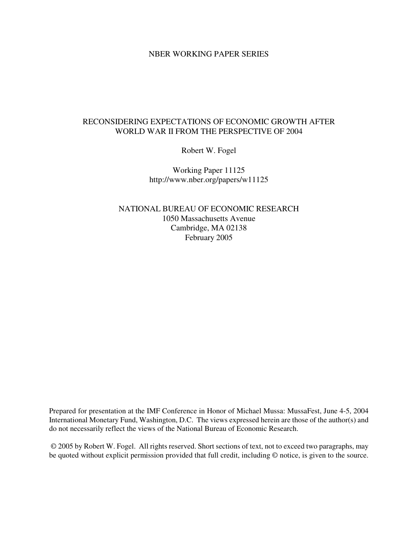#### NBER WORKING PAPER SERIES

### RECONSIDERING EXPECTATIONS OF ECONOMIC GROWTH AFTER WORLD WAR II FROM THE PERSPECTIVE OF 2004

Robert W. Fogel

Working Paper 11125 http://www.nber.org/papers/w11125

NATIONAL BUREAU OF ECONOMIC RESEARCH 1050 Massachusetts Avenue Cambridge, MA 02138 February 2005

Prepared for presentation at the IMF Conference in Honor of Michael Mussa: MussaFest, June 4-5, 2004 International Monetary Fund, Washington, D.C. The views expressed herein are those of the author(s) and do not necessarily reflect the views of the National Bureau of Economic Research.

© 2005 by Robert W. Fogel. All rights reserved. Short sections of text, not to exceed two paragraphs, may be quoted without explicit permission provided that full credit, including © notice, is given to the source.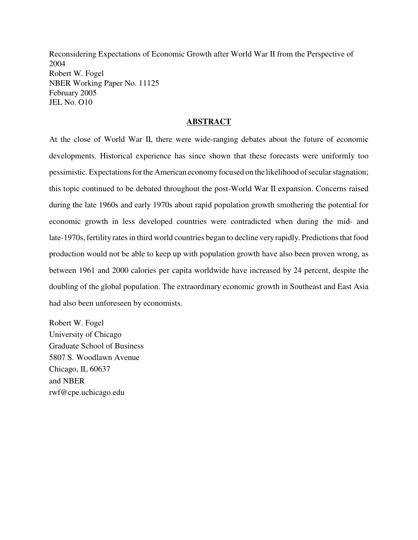Reconsidering Expectations of Economic Growth after World War II from the Perspective of 2004 Robert W. Fogel NBER Working Paper No. 11125 February 2005 JEL No. O10

#### **ABSTRACT**

At the close of World War II, there were wide-ranging debates about the future of economic developments. Historical experience has since shown that these forecasts were uniformly too pessimistic. Expectations for the American economy focused on the likelihood of secular stagnation; this topic continued to be debated throughout the post-World War II expansion. Concerns raised during the late 1960s and early 1970s about rapid population growth smothering the potential for economic growth in less developed countries were contradicted when during the mid- and late-1970s, fertility rates in third world countries began to decline very rapidly. Predictions that food production would not be able to keep up with population growth have also been proven wrong, as between 1961 and 2000 calories per capita worldwide have increased by 24 percent, despite the doubling of the global population. The extraordinary economic growth in Southeast and East Asia had also been unforeseen by economists.

Robert W. Fogel University of Chicago Graduate School of Business 5807 S. Woodlawn Avenue Chicago, IL 60637 and NBER rwf@cpe.uchicago.edu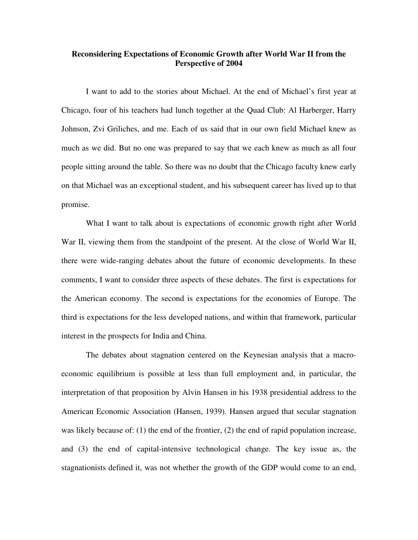### **Reconsidering Expectations of Economic Growth after World War II from the Perspective of 2004**

I want to add to the stories about Michael. At the end of Michael's first year at Chicago, four of his teachers had lunch together at the Quad Club: Al Harberger, Harry Johnson, Zvi Griliches, and me. Each of us said that in our own field Michael knew as much as we did. But no one was prepared to say that we each knew as much as all four people sitting around the table. So there was no doubt that the Chicago faculty knew early on that Michael was an exceptional student, and his subsequent career has lived up to that promise.

What I want to talk about is expectations of economic growth right after World War II, viewing them from the standpoint of the present. At the close of World War II, there were wide-ranging debates about the future of economic developments. In these comments, I want to consider three aspects of these debates. The first is expectations for the American economy. The second is expectations for the economies of Europe. The third is expectations for the less developed nations, and within that framework, particular interest in the prospects for India and China.

The debates about stagnation centered on the Keynesian analysis that a macroeconomic equilibrium is possible at less than full employment and, in particular, the interpretation of that proposition by Alvin Hansen in his 1938 presidential address to the American Economic Association (Hansen, 1939). Hansen argued that secular stagnation was likely because of: (1) the end of the frontier, (2) the end of rapid population increase, and (3) the end of capital-intensive technological change. The key issue as, the stagnationists defined it, was not whether the growth of the GDP would come to an end,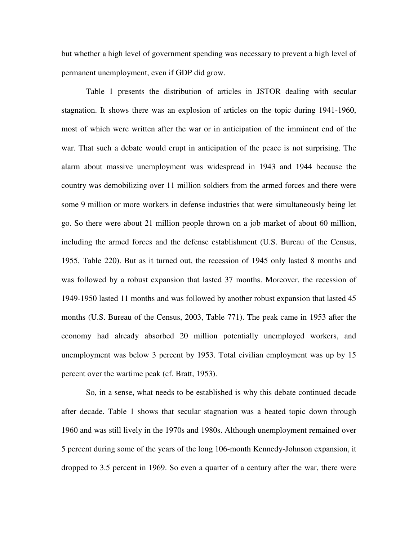but whether a high level of government spending was necessary to prevent a high level of permanent unemployment, even if GDP did grow.

Table 1 presents the distribution of articles in JSTOR dealing with secular stagnation. It shows there was an explosion of articles on the topic during 1941-1960, most of which were written after the war or in anticipation of the imminent end of the war. That such a debate would erupt in anticipation of the peace is not surprising. The alarm about massive unemployment was widespread in 1943 and 1944 because the country was demobilizing over 11 million soldiers from the armed forces and there were some 9 million or more workers in defense industries that were simultaneously being let go. So there were about 21 million people thrown on a job market of about 60 million, including the armed forces and the defense establishment (U.S. Bureau of the Census, 1955, Table 220). But as it turned out, the recession of 1945 only lasted 8 months and was followed by a robust expansion that lasted 37 months. Moreover, the recession of 1949-1950 lasted 11 months and was followed by another robust expansion that lasted 45 months (U.S. Bureau of the Census, 2003, Table 771). The peak came in 1953 after the economy had already absorbed 20 million potentially unemployed workers, and unemployment was below 3 percent by 1953. Total civilian employment was up by 15 percent over the wartime peak (cf. Bratt, 1953).

So, in a sense, what needs to be established is why this debate continued decade after decade. Table 1 shows that secular stagnation was a heated topic down through 1960 and was still lively in the 1970s and 1980s. Although unemployment remained over 5 percent during some of the years of the long 106-month Kennedy-Johnson expansion, it dropped to 3.5 percent in 1969. So even a quarter of a century after the war, there were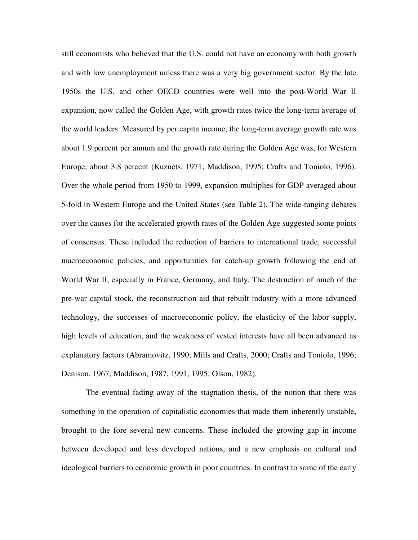still economists who believed that the U.S. could not have an economy with both growth and with low unemployment unless there was a very big government sector. By the late 1950s the U.S. and other OECD countries were well into the post-World War II expansion, now called the Golden Age, with growth rates twice the long-term average of the world leaders. Measured by per capita income, the long-term average growth rate was about 1.9 percent per annum and the growth rate during the Golden Age was, for Western Europe, about 3.8 percent (Kuznets, 1971; Maddison, 1995; Crafts and Toniolo, 1996). Over the whole period from 1950 to 1999, expansion multiplies for GDP averaged about 5-fold in Western Europe and the United States (see Table 2). The wide-ranging debates over the causes for the accelerated growth rates of the Golden Age suggested some points of consensus. These included the reduction of barriers to international trade, successful macroeconomic policies, and opportunities for catch-up growth following the end of World War II, especially in France, Germany, and Italy. The destruction of much of the pre-war capital stock, the reconstruction aid that rebuilt industry with a more advanced technology, the successes of macroeconomic policy, the elasticity of the labor supply, high levels of education, and the weakness of vested interests have all been advanced as explanatory factors (Abramovitz, 1990; Mills and Crafts, 2000; Crafts and Toniolo, 1996; Denison, 1967; Maddison, 1987, 1991, 1995; Olson, 1982).

The eventual fading away of the stagnation thesis, of the notion that there was something in the operation of capitalistic economies that made them inherently unstable, brought to the fore several new concerns. These included the growing gap in income between developed and less developed nations, and a new emphasis on cultural and ideological barriers to economic growth in poor countries. In contrast to some of the early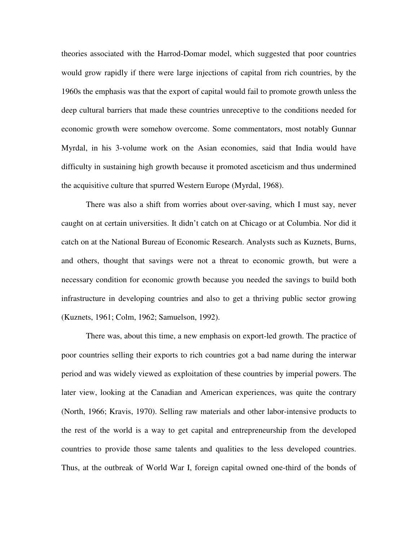theories associated with the Harrod-Domar model, which suggested that poor countries would grow rapidly if there were large injections of capital from rich countries, by the 1960s the emphasis was that the export of capital would fail to promote growth unless the deep cultural barriers that made these countries unreceptive to the conditions needed for economic growth were somehow overcome. Some commentators, most notably Gunnar Myrdal, in his 3-volume work on the Asian economies, said that India would have difficulty in sustaining high growth because it promoted asceticism and thus undermined the acquisitive culture that spurred Western Europe (Myrdal, 1968).

There was also a shift from worries about over-saving, which I must say, never caught on at certain universities. It didn't catch on at Chicago or at Columbia. Nor did it catch on at the National Bureau of Economic Research. Analysts such as Kuznets, Burns, and others, thought that savings were not a threat to economic growth, but were a necessary condition for economic growth because you needed the savings to build both infrastructure in developing countries and also to get a thriving public sector growing (Kuznets, 1961; Colm, 1962; Samuelson, 1992).

There was, about this time, a new emphasis on export-led growth. The practice of poor countries selling their exports to rich countries got a bad name during the interwar period and was widely viewed as exploitation of these countries by imperial powers. The later view, looking at the Canadian and American experiences, was quite the contrary (North, 1966; Kravis, 1970). Selling raw materials and other labor-intensive products to the rest of the world is a way to get capital and entrepreneurship from the developed countries to provide those same talents and qualities to the less developed countries. Thus, at the outbreak of World War I, foreign capital owned one-third of the bonds of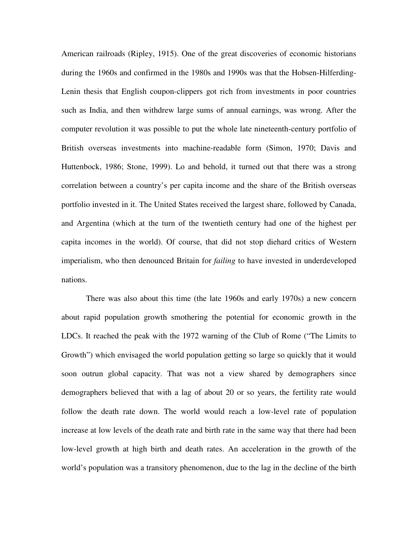American railroads (Ripley, 1915). One of the great discoveries of economic historians during the 1960s and confirmed in the 1980s and 1990s was that the Hobsen-Hilferding-Lenin thesis that English coupon-clippers got rich from investments in poor countries such as India, and then withdrew large sums of annual earnings, was wrong. After the computer revolution it was possible to put the whole late nineteenth-century portfolio of British overseas investments into machine-readable form (Simon, 1970; Davis and Huttenbock, 1986; Stone, 1999). Lo and behold, it turned out that there was a strong correlation between a country's per capita income and the share of the British overseas portfolio invested in it. The United States received the largest share, followed by Canada, and Argentina (which at the turn of the twentieth century had one of the highest per capita incomes in the world). Of course, that did not stop diehard critics of Western imperialism, who then denounced Britain for *failing* to have invested in underdeveloped nations.

There was also about this time (the late 1960s and early 1970s) a new concern about rapid population growth smothering the potential for economic growth in the LDCs. It reached the peak with the 1972 warning of the Club of Rome ("The Limits to Growth") which envisaged the world population getting so large so quickly that it would soon outrun global capacity. That was not a view shared by demographers since demographers believed that with a lag of about 20 or so years, the fertility rate would follow the death rate down. The world would reach a low-level rate of population increase at low levels of the death rate and birth rate in the same way that there had been low-level growth at high birth and death rates. An acceleration in the growth of the world's population was a transitory phenomenon, due to the lag in the decline of the birth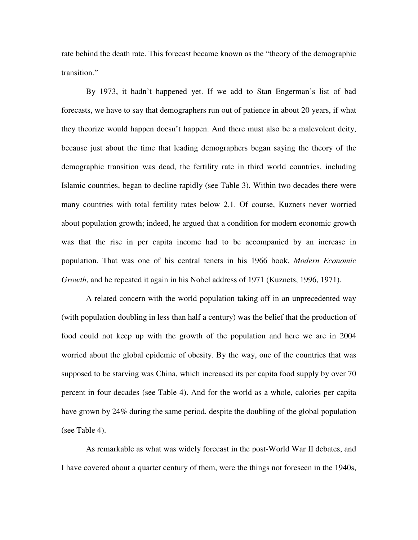rate behind the death rate. This forecast became known as the "theory of the demographic transition."

By 1973, it hadn't happened yet. If we add to Stan Engerman's list of bad forecasts, we have to say that demographers run out of patience in about 20 years, if what they theorize would happen doesn't happen. And there must also be a malevolent deity, because just about the time that leading demographers began saying the theory of the demographic transition was dead, the fertility rate in third world countries, including Islamic countries, began to decline rapidly (see Table 3). Within two decades there were many countries with total fertility rates below 2.1. Of course, Kuznets never worried about population growth; indeed, he argued that a condition for modern economic growth was that the rise in per capita income had to be accompanied by an increase in population. That was one of his central tenets in his 1966 book, *Modern Economic Growth*, and he repeated it again in his Nobel address of 1971 (Kuznets, 1996, 1971).

A related concern with the world population taking off in an unprecedented way (with population doubling in less than half a century) was the belief that the production of food could not keep up with the growth of the population and here we are in 2004 worried about the global epidemic of obesity. By the way, one of the countries that was supposed to be starving was China, which increased its per capita food supply by over 70 percent in four decades (see Table 4). And for the world as a whole, calories per capita have grown by 24% during the same period, despite the doubling of the global population (see Table 4).

As remarkable as what was widely forecast in the post-World War II debates, and I have covered about a quarter century of them, were the things not foreseen in the 1940s,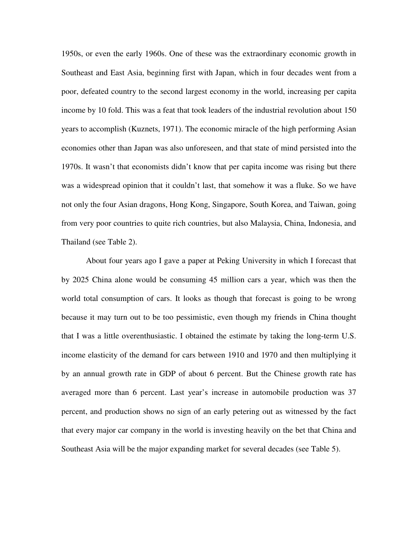1950s, or even the early 1960s. One of these was the extraordinary economic growth in Southeast and East Asia, beginning first with Japan, which in four decades went from a poor, defeated country to the second largest economy in the world, increasing per capita income by 10 fold. This was a feat that took leaders of the industrial revolution about 150 years to accomplish (Kuznets, 1971). The economic miracle of the high performing Asian economies other than Japan was also unforeseen, and that state of mind persisted into the 1970s. It wasn't that economists didn't know that per capita income was rising but there was a widespread opinion that it couldn't last, that somehow it was a fluke. So we have not only the four Asian dragons, Hong Kong, Singapore, South Korea, and Taiwan, going from very poor countries to quite rich countries, but also Malaysia, China, Indonesia, and Thailand (see Table 2).

About four years ago I gave a paper at Peking University in which I forecast that by 2025 China alone would be consuming 45 million cars a year, which was then the world total consumption of cars. It looks as though that forecast is going to be wrong because it may turn out to be too pessimistic, even though my friends in China thought that I was a little overenthusiastic. I obtained the estimate by taking the long-term U.S. income elasticity of the demand for cars between 1910 and 1970 and then multiplying it by an annual growth rate in GDP of about 6 percent. But the Chinese growth rate has averaged more than 6 percent. Last year's increase in automobile production was 37 percent, and production shows no sign of an early petering out as witnessed by the fact that every major car company in the world is investing heavily on the bet that China and Southeast Asia will be the major expanding market for several decades (see Table 5).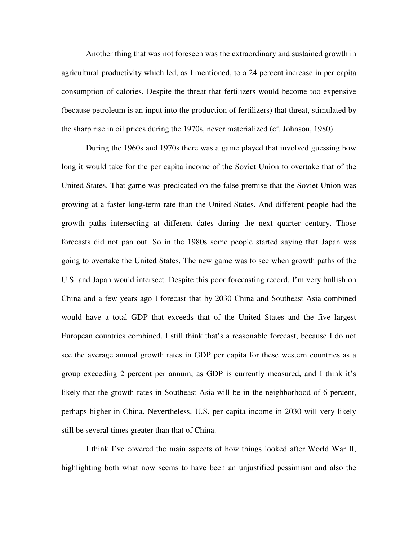Another thing that was not foreseen was the extraordinary and sustained growth in agricultural productivity which led, as I mentioned, to a 24 percent increase in per capita consumption of calories. Despite the threat that fertilizers would become too expensive (because petroleum is an input into the production of fertilizers) that threat, stimulated by the sharp rise in oil prices during the 1970s, never materialized (cf. Johnson, 1980).

During the 1960s and 1970s there was a game played that involved guessing how long it would take for the per capita income of the Soviet Union to overtake that of the United States. That game was predicated on the false premise that the Soviet Union was growing at a faster long-term rate than the United States. And different people had the growth paths intersecting at different dates during the next quarter century. Those forecasts did not pan out. So in the 1980s some people started saying that Japan was going to overtake the United States. The new game was to see when growth paths of the U.S. and Japan would intersect. Despite this poor forecasting record, I'm very bullish on China and a few years ago I forecast that by 2030 China and Southeast Asia combined would have a total GDP that exceeds that of the United States and the five largest European countries combined. I still think that's a reasonable forecast, because I do not see the average annual growth rates in GDP per capita for these western countries as a group exceeding 2 percent per annum, as GDP is currently measured, and I think it's likely that the growth rates in Southeast Asia will be in the neighborhood of 6 percent, perhaps higher in China. Nevertheless, U.S. per capita income in 2030 will very likely still be several times greater than that of China.

I think I've covered the main aspects of how things looked after World War II, highlighting both what now seems to have been an unjustified pessimism and also the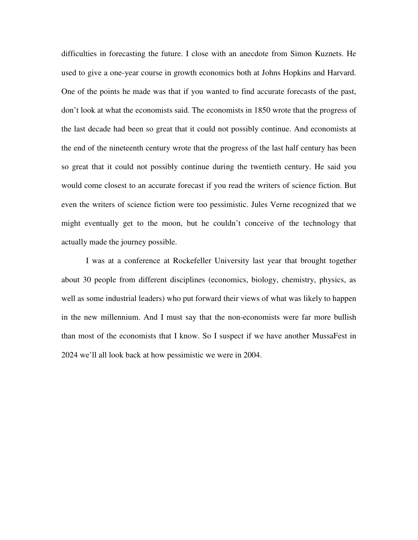difficulties in forecasting the future. I close with an anecdote from Simon Kuznets. He used to give a one-year course in growth economics both at Johns Hopkins and Harvard. One of the points he made was that if you wanted to find accurate forecasts of the past, don't look at what the economists said. The economists in 1850 wrote that the progress of the last decade had been so great that it could not possibly continue. And economists at the end of the nineteenth century wrote that the progress of the last half century has been so great that it could not possibly continue during the twentieth century. He said you would come closest to an accurate forecast if you read the writers of science fiction. But even the writers of science fiction were too pessimistic. Jules Verne recognized that we might eventually get to the moon, but he couldn't conceive of the technology that actually made the journey possible.

I was at a conference at Rockefeller University last year that brought together about 30 people from different disciplines (economics, biology, chemistry, physics, as well as some industrial leaders) who put forward their views of what was likely to happen in the new millennium. And I must say that the non-economists were far more bullish than most of the economists that I know. So I suspect if we have another MussaFest in 2024 we'll all look back at how pessimistic we were in 2004.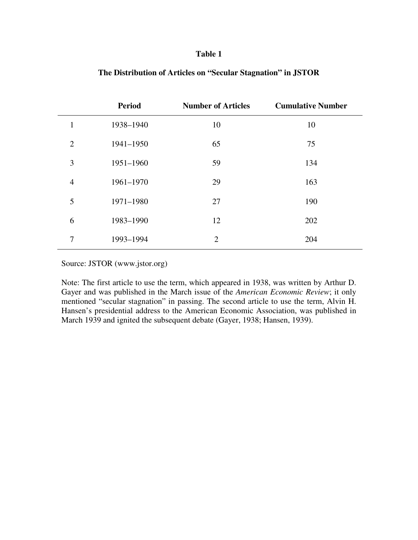|                | <b>Period</b> | <b>Number of Articles</b> | <b>Cumulative Number</b> |
|----------------|---------------|---------------------------|--------------------------|
| 1              | 1938-1940     | 10                        | 10                       |
| $\overline{2}$ | 1941-1950     | 65                        | 75                       |
| 3              | 1951-1960     | 59                        | 134                      |
| $\overline{4}$ | 1961-1970     | 29                        | 163                      |
| 5              | 1971-1980     | 27                        | 190                      |
| 6              | 1983-1990     | 12                        | 202                      |
| 7              | 1993-1994     | 2                         | 204                      |

### **The Distribution of Articles on "Secular Stagnation" in JSTOR**

Source: JSTOR (www.jstor.org)

Note: The first article to use the term, which appeared in 1938, was written by Arthur D. Gayer and was published in the March issue of the *American Economic Review*; it only mentioned "secular stagnation" in passing. The second article to use the term, Alvin H. Hansen's presidential address to the American Economic Association, was published in March 1939 and ignited the subsequent debate (Gayer, 1938; Hansen, 1939).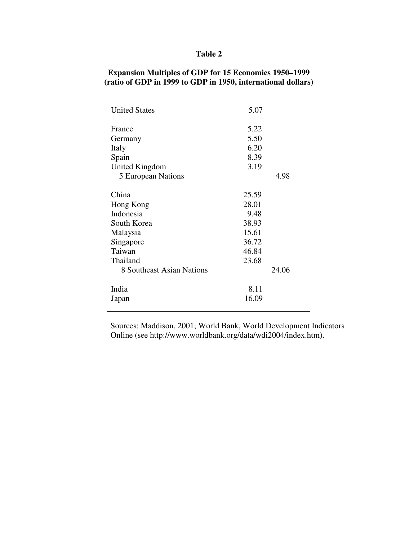## **Expansion Multiples of GDP for 15 Economies 1950–1999 (ratio of GDP in 1999 to GDP in 1950, international dollars)**

| <b>United States</b>      | 5.07  |       |
|---------------------------|-------|-------|
| France                    | 5.22  |       |
| Germany                   | 5.50  |       |
| Italy                     | 6.20  |       |
| Spain                     | 8.39  |       |
| United Kingdom            | 3.19  |       |
| 5 European Nations        |       | 4.98  |
| China                     | 25.59 |       |
| Hong Kong                 | 28.01 |       |
| Indonesia                 | 9.48  |       |
| South Korea               | 38.93 |       |
| Malaysia                  | 15.61 |       |
| Singapore                 | 36.72 |       |
| Taiwan                    | 46.84 |       |
| Thailand                  | 23.68 |       |
| 8 Southeast Asian Nations |       | 24.06 |
| India                     | 8.11  |       |
| Japan                     | 16.09 |       |
|                           |       |       |

Sources: Maddison, 2001; World Bank, World Development Indicators Online (see http://www.worldbank.org/data/wdi2004/index.htm).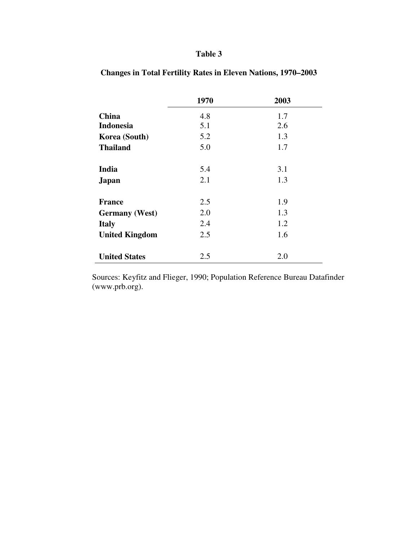|                       | 1970 | 2003 |
|-----------------------|------|------|
| <b>China</b>          | 4.8  | 1.7  |
| <b>Indonesia</b>      | 5.1  | 2.6  |
| Korea (South)         | 5.2  | 1.3  |
| <b>Thailand</b>       | 5.0  | 1.7  |
|                       |      |      |
| India                 | 5.4  | 3.1  |
| <b>Japan</b>          | 2.1  | 1.3  |
| <b>France</b>         | 2.5  | 1.9  |
|                       |      |      |
| <b>Germany</b> (West) | 2.0  | 1.3  |
| <b>Italy</b>          | 2.4  | 1.2  |
| <b>United Kingdom</b> | 2.5  | 1.6  |
|                       |      |      |
| <b>United States</b>  | 2.5  | 2.0  |

**Changes in Total Fertility Rates in Eleven Nations, 1970–2003**

Sources: Keyfitz and Flieger, 1990; Population Reference Bureau Datafinder (www.prb.org).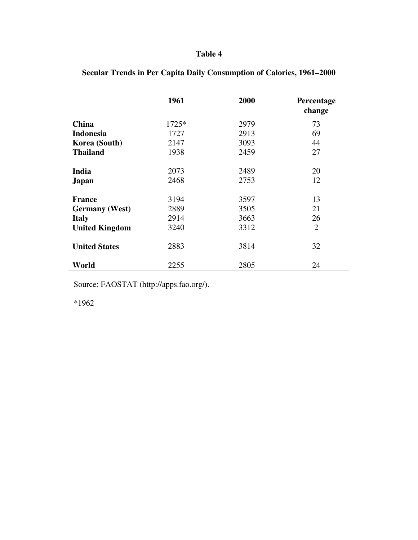|                       | 1961  | 2000 | Percentage<br>change |
|-----------------------|-------|------|----------------------|
| <b>China</b>          | 1725* | 2979 | 73                   |
| <b>Indonesia</b>      | 1727  | 2913 | 69                   |
| Korea (South)         | 2147  | 3093 | 44                   |
| <b>Thailand</b>       | 1938  | 2459 | 27                   |
| India                 | 2073  | 2489 | 20                   |
| <b>Japan</b>          | 2468  | 2753 | 12                   |
| <b>France</b>         | 3194  | 3597 | 13                   |
| <b>Germany</b> (West) | 2889  | 3505 | 21                   |
| <b>Italy</b>          | 2914  | 3663 | 26                   |
| <b>United Kingdom</b> | 3240  | 3312 | $\overline{2}$       |
| <b>United States</b>  | 2883  | 3814 | 32                   |
| World                 | 2255  | 2805 | 24                   |

# **Secular Trends in Per Capita Daily Consumption of Calories, 1961–2000**

Source: FAOSTAT (http://apps.fao.org/).

\*1962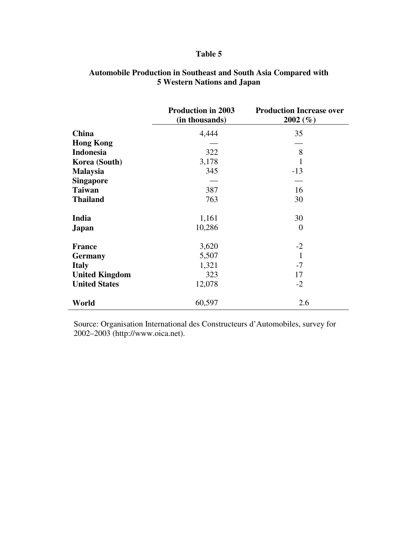|                       | <b>Production in 2003</b><br>(in thousands) | <b>Production Increase over</b><br>$2002\; (\% )$ |
|-----------------------|---------------------------------------------|---------------------------------------------------|
| <b>China</b>          | 4,444                                       | 35                                                |
| <b>Hong Kong</b>      |                                             |                                                   |
| <b>Indonesia</b>      | 322                                         | 8                                                 |
| Korea (South)         | 3,178                                       | 1                                                 |
| <b>Malaysia</b>       | 345                                         | $-13$                                             |
| <b>Singapore</b>      |                                             |                                                   |
| <b>Taiwan</b>         | 387                                         | 16                                                |
| <b>Thailand</b>       | 763                                         | 30                                                |
| India                 | 1,161                                       | 30                                                |
| Japan                 | 10,286                                      | $\theta$                                          |
| <b>France</b>         | 3,620                                       | $-2$                                              |
| <b>Germany</b>        | 5,507                                       | $\mathbf{1}$                                      |
| <b>Italy</b>          | 1,321                                       | $-7$                                              |
| <b>United Kingdom</b> | 323                                         | 17                                                |
| <b>United States</b>  | 12,078                                      | $-2$                                              |
| World                 | 60,597                                      | 2.6                                               |

### **Automobile Production in Southeast and South Asia Compared with 5 Western Nations and Japan**

Source: Organisation International des Constructeurs d'Automobiles, survey for 2002–2003 (http://www.oica.net).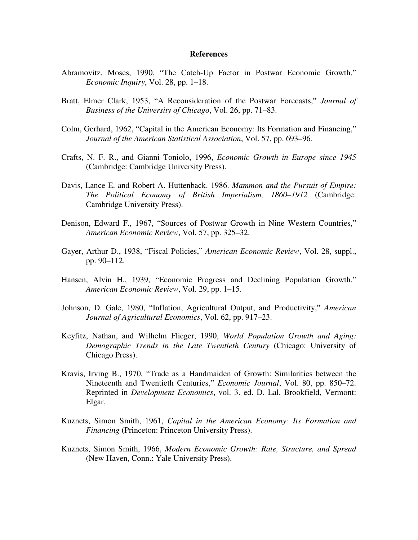#### **References**

- Abramovitz, Moses, 1990, "The Catch-Up Factor in Postwar Economic Growth," *Economic Inquiry*, Vol. 28, pp. 1–18.
- Bratt, Elmer Clark, 1953, "A Reconsideration of the Postwar Forecasts," *Journal of Business of the University of Chicago*, Vol. 26, pp. 71–83.
- Colm, Gerhard, 1962, "Capital in the American Economy: Its Formation and Financing," *Journal of the American Statistical Association*, Vol. 57, pp. 693–96*.*
- Crafts, N. F. R., and Gianni Toniolo, 1996, *Economic Growth in Europe since 1945* (Cambridge: Cambridge University Press).
- Davis, Lance E. and Robert A. Huttenback. 1986. *Mammon and the Pursuit of Empire: The Political Economy of British Imperialism, 1860–1912* (Cambridge: Cambridge University Press).
- Denison, Edward F., 1967, "Sources of Postwar Growth in Nine Western Countries," *American Economic Review*, Vol. 57, pp. 325–32.
- Gayer, Arthur D., 1938, "Fiscal Policies," *American Economic Review*, Vol. 28, suppl., pp. 90–112.
- Hansen, Alvin H., 1939, "Economic Progress and Declining Population Growth," *American Economic Review*, Vol. 29, pp. 1–15.
- Johnson, D. Gale, 1980, "Inflation, Agricultural Output, and Productivity," *American Journal of Agricultural Economics*, Vol. 62, pp. 917–23.
- Keyfitz, Nathan, and Wilhelm Flieger, 1990, *World Population Growth and Aging: Demographic Trends in the Late Twentieth Century* (Chicago: University of Chicago Press).
- Kravis, Irving B., 1970, "Trade as a Handmaiden of Growth: Similarities between the Nineteenth and Twentieth Centuries," *Economic Journal*, Vol. 80, pp. 850–72. Reprinted in *Development Economics*, vol. 3. ed. D. Lal. Brookfield, Vermont: Elgar.
- Kuznets, Simon Smith, 1961, *Capital in the American Economy: Its Formation and Financing* (Princeton: Princeton University Press).
- Kuznets, Simon Smith, 1966, *Modern Economic Growth: Rate, Structure, and Spread* (New Haven, Conn.: Yale University Press).